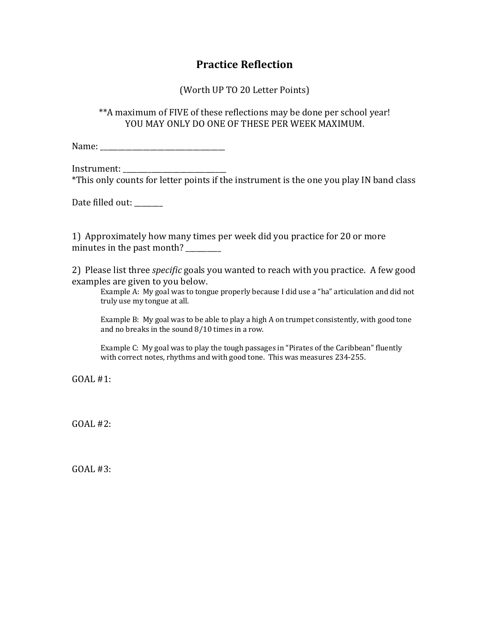## **Practice Reflection**

(Worth UP TO 20 Letter Points)

\*\*A maximum of FIVE of these reflections may be done per school year! YOU MAY ONLY DO ONE OF THESE PER WEEK MAXIMUM.

Name: \_\_\_\_\_\_\_\_\_\_\_\_\_\_\_\_\_\_\_\_\_\_\_\_\_\_\_\_\_\_\_\_\_\_\_

Instrument:

\*This only counts for letter points if the instrument is the one you play IN band class

Date filled out: \_\_\_\_\_\_

1) Approximately how many times per week did you practice for 20 or more minutes in the past month? \_\_\_\_\_\_\_\_

2) Please list three *specific* goals you wanted to reach with you practice. A few good examples are given to you below.

Example A: My goal was to tongue properly because I did use a "ha" articulation and did not truly use my tongue at all.

Example B: My goal was to be able to play a high A on trumpet consistently, with good tone and no breaks in the sound  $8/10$  times in a row.

Example C: My goal was to play the tough passages in "Pirates of the Caribbean" fluently with correct notes, rhythms and with good tone. This was measures 234-255.

 $GOAI. #1:$ 

 $GOAL #2$ :

 $GOAL #3:$